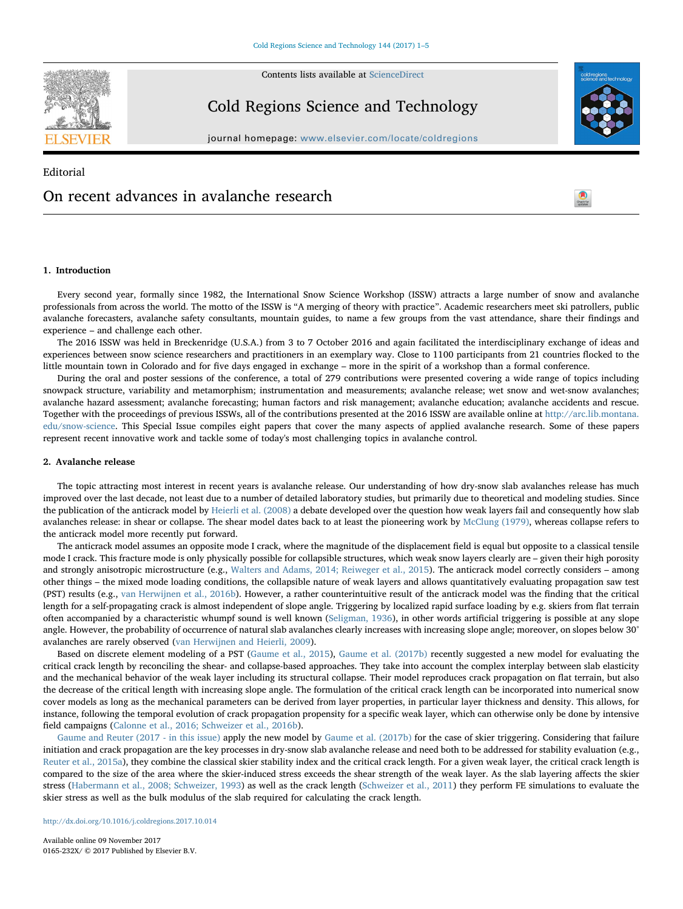Contents lists available at [ScienceDirect](http://www.sciencedirect.com/science/journal/0165232X)

Cold Regions Science and Technology

journal homepage: [www.elsevier.com/locate/coldregions](https://www.elsevier.com/locate/coldregions)

# Editorial On recent advances in avalanche research



l.

# 1. Introduction

Every second year, formally since 1982, the International Snow Science Workshop (ISSW) attracts a large number of snow and avalanche professionals from across the world. The motto of the ISSW is "A merging of theory with practice". Academic researchers meet ski patrollers, public avalanche forecasters, avalanche safety consultants, mountain guides, to name a few groups from the vast attendance, share their findings and experience – and challenge each other.

The 2016 ISSW was held in Breckenridge (U.S.A.) from 3 to 7 October 2016 and again facilitated the interdisciplinary exchange of ideas and experiences between snow science researchers and practitioners in an exemplary way. Close to 1100 participants from 21 countries flocked to the little mountain town in Colorado and for five days engaged in exchange – more in the spirit of a workshop than a formal conference.

During the oral and poster sessions of the conference, a total of 279 contributions were presented covering a wide range of topics including snowpack structure, variability and metamorphism; instrumentation and measurements; avalanche release; wet snow and wet-snow avalanches; avalanche hazard assessment; avalanche forecasting; human factors and risk management; avalanche education; avalanche accidents and rescue. Together with the proceedings of previous ISSWs, all of the contributions presented at the 2016 ISSW are available online at [http://arc.lib.montana.](http://arc.lib.montana.edu/snow-science) [edu/snow-science.](http://arc.lib.montana.edu/snow-science) This Special Issue compiles eight papers that cover the many aspects of applied avalanche research. Some of these papers represent recent innovative work and tackle some of today's most challenging topics in avalanche control.

# 2. Avalanche release

The topic attracting most interest in recent years is avalanche release. Our understanding of how dry-snow slab avalanches release has much improved over the last decade, not least due to a number of detailed laboratory studies, but primarily due to theoretical and modeling studies. Since the publication of the anticrack model by [Heierli et al. \(2008\)](#page-3-0) a debate developed over the question how weak layers fail and consequently how slab avalanches release: in shear or collapse. The shear model dates back to at least the pioneering work by [McClung \(1979\),](#page-3-1) whereas collapse refers to the anticrack model more recently put forward.

The anticrack model assumes an opposite mode I crack, where the magnitude of the displacement field is equal but opposite to a classical tensile mode I crack. This fracture mode is only physically possible for collapsible structures, which weak snow layers clearly are – given their high porosity and strongly anisotropic microstructure (e.g., [Walters and Adams, 2014; Reiweger et al., 2015](#page-4-0)). The anticrack model correctly considers – among other things – the mixed mode loading conditions, the collapsible nature of weak layers and allows quantitatively evaluating propagation saw test (PST) results (e.g., [van Herwijnen et al., 2016b\)](#page-4-1). However, a rather counterintuitive result of the anticrack model was the finding that the critical length for a self-propagating crack is almost independent of slope angle. Triggering by localized rapid surface loading by e.g. skiers from flat terrain often accompanied by a characteristic whumpf sound is well known ([Seligman, 1936](#page-4-2)), in other words artificial triggering is possible at any slope angle. However, the probability of occurrence of natural slab avalanches clearly increases with increasing slope angle; moreover, on slopes below 30° avalanches are rarely observed [\(van Herwijnen and Heierli, 2009\)](#page-3-2).

Based on discrete element modeling of a PST ([Gaume et al., 2015\)](#page-3-3), [Gaume et al. \(2017b\)](#page-3-4) recently suggested a new model for evaluating the critical crack length by reconciling the shear- and collapse-based approaches. They take into account the complex interplay between slab elasticity and the mechanical behavior of the weak layer including its structural collapse. Their model reproduces crack propagation on flat terrain, but also the decrease of the critical length with increasing slope angle. The formulation of the critical crack length can be incorporated into numerical snow cover models as long as the mechanical parameters can be derived from layer properties, in particular layer thickness and density. This allows, for instance, following the temporal evolution of crack propagation propensity for a specific weak layer, which can otherwise only be done by intensive field campaigns [\(Calonne et al., 2016; Schweizer et al., 2016b\)](#page-3-5).

[Gaume and Reuter \(2017 - in this issue\)](#page-3-6) apply the new model by [Gaume et al. \(2017b\)](#page-3-4) for the case of skier triggering. Considering that failure initiation and crack propagation are the key processes in dry-snow slab avalanche release and need both to be addressed for stability evaluation (e.g., [Reuter et al., 2015a\)](#page-4-3), they combine the classical skier stability index and the critical crack length. For a given weak layer, the critical crack length is compared to the size of the area where the skier-induced stress exceeds the shear strength of the weak layer. As the slab layering affects the skier stress [\(Habermann et al., 2008; Schweizer, 1993](#page-3-7)) as well as the crack length [\(Schweizer et al., 2011](#page-4-4)) they perform FE simulations to evaluate the skier stress as well as the bulk modulus of the slab required for calculating the crack length.

<http://dx.doi.org/10.1016/j.coldregions.2017.10.014>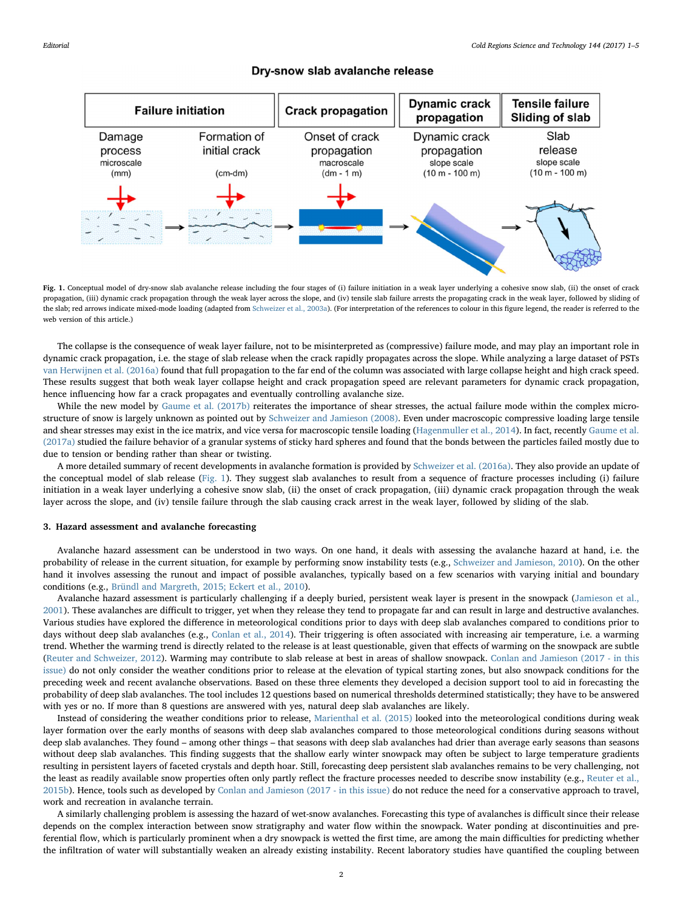# Dry-snow slab avalanche release

<span id="page-1-0"></span>

Fig. 1. Conceptual model of dry-snow slab avalanche release including the four stages of (i) failure initiation in a weak layer underlying a cohesive snow slab, (ii) the onset of crack propagation, (iii) dynamic crack propagation through the weak layer across the slope, and (iv) tensile slab failure arrests the propagating crack in the weak layer, followed by sliding of the slab; red arrows indicate mixed-mode loading (adapted from [Schweizer et al., 2003a\)](#page-4-11). (For interpretation of the references to colour in this figure legend, the reader is referred to the web version of this article.)

The collapse is the consequence of weak layer failure, not to be misinterpreted as (compressive) failure mode, and may play an important role in dynamic crack propagation, i.e. the stage of slab release when the crack rapidly propagates across the slope. While analyzing a large dataset of PSTs [van Herwijnen et al. \(2016a\)](#page-4-5) found that full propagation to the far end of the column was associated with large collapse height and high crack speed. These results suggest that both weak layer collapse height and crack propagation speed are relevant parameters for dynamic crack propagation, hence influencing how far a crack propagates and eventually controlling avalanche size.

While the new model by [Gaume et al. \(2017b\)](#page-3-4) reiterates the importance of shear stresses, the actual failure mode within the complex microstructure of snow is largely unknown as pointed out by [Schweizer and Jamieson \(2008\)](#page-4-6). Even under macroscopic compressive loading large tensile and shear stresses may exist in the ice matrix, and vice versa for macroscopic tensile loading [\(Hagenmuller et al., 2014](#page-3-8)). In fact, recently [Gaume et al.](#page-3-9) [\(2017a\)](#page-3-9) studied the failure behavior of a granular systems of sticky hard spheres and found that the bonds between the particles failed mostly due to due to tension or bending rather than shear or twisting.

A more detailed summary of recent developments in avalanche formation is provided by [Schweizer et al. \(2016a\).](#page-4-7) They also provide an update of the conceptual model of slab release [\(Fig. 1](#page-1-0)). They suggest slab avalanches to result from a sequence of fracture processes including (i) failure initiation in a weak layer underlying a cohesive snow slab, (ii) the onset of crack propagation, (iii) dynamic crack propagation through the weak layer across the slope, and (iv) tensile failure through the slab causing crack arrest in the weak layer, followed by sliding of the slab.

# 3. Hazard assessment and avalanche forecasting

Avalanche hazard assessment can be understood in two ways. On one hand, it deals with assessing the avalanche hazard at hand, i.e. the probability of release in the current situation, for example by performing snow instability tests (e.g., [Schweizer and Jamieson, 2010](#page-4-8)). On the other hand it involves assessing the runout and impact of possible avalanches, typically based on a few scenarios with varying initial and boundary conditions (e.g., [Bründl and Margreth, 2015; Eckert et al., 2010\)](#page-3-10).

Avalanche hazard assessment is particularly challenging if a deeply buried, persistent weak layer is present in the snowpack ([Jamieson et al.,](#page-3-11) [2001\)](#page-3-11). These avalanches are difficult to trigger, yet when they release they tend to propagate far and can result in large and destructive avalanches. Various studies have explored the difference in meteorological conditions prior to days with deep slab avalanches compared to conditions prior to days without deep slab avalanches (e.g., [Conlan et al., 2014](#page-3-12)). Their triggering is often associated with increasing air temperature, i.e. a warming trend. Whether the warming trend is directly related to the release is at least questionable, given that effects of warming on the snowpack are subtle ([Reuter and Schweizer, 2012\)](#page-4-9). Warming may contribute to slab release at best in areas of shallow snowpack. [Conlan and Jamieson \(2017 - in this](#page-3-13) [issue\)](#page-3-13) do not only consider the weather conditions prior to release at the elevation of typical starting zones, but also snowpack conditions for the preceding week and recent avalanche observations. Based on these three elements they developed a decision support tool to aid in forecasting the probability of deep slab avalanches. The tool includes 12 questions based on numerical thresholds determined statistically; they have to be answered with yes or no. If more than 8 questions are answered with yes, natural deep slab avalanches are likely.

Instead of considering the weather conditions prior to release, [Marienthal et al. \(2015\)](#page-3-14) looked into the meteorological conditions during weak layer formation over the early months of seasons with deep slab avalanches compared to those meteorological conditions during seasons without deep slab avalanches. They found – among other things – that seasons with deep slab avalanches had drier than average early seasons than seasons without deep slab avalanches. This finding suggests that the shallow early winter snowpack may often be subject to large temperature gradients resulting in persistent layers of faceted crystals and depth hoar. Still, forecasting deep persistent slab avalanches remains to be very challenging, not the least as readily available snow properties often only partly reflect the fracture processes needed to describe snow instability (e.g., [Reuter et al.,](#page-4-10) [2015b\)](#page-4-10). Hence, tools such as developed by [Conlan and Jamieson \(2017 - in this issue\)](#page-3-13) do not reduce the need for a conservative approach to travel, work and recreation in avalanche terrain.

A similarly challenging problem is assessing the hazard of wet-snow avalanches. Forecasting this type of avalanches is difficult since their release depends on the complex interaction between snow stratigraphy and water flow within the snowpack. Water ponding at discontinuities and preferential flow, which is particularly prominent when a dry snowpack is wetted the first time, are among the main difficulties for predicting whether the infiltration of water will substantially weaken an already existing instability. Recent laboratory studies have quantified the coupling between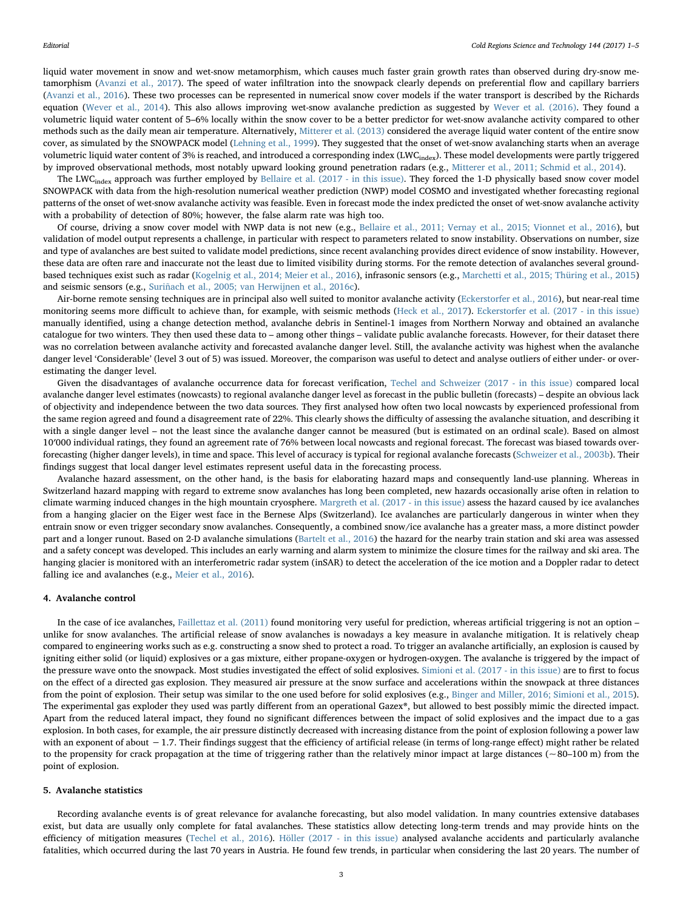liquid water movement in snow and wet-snow metamorphism, which causes much faster grain growth rates than observed during dry-snow metamorphism [\(Avanzi et al., 2017](#page-3-15)). The speed of water infiltration into the snowpack clearly depends on preferential flow and capillary barriers ([Avanzi et al., 2016](#page-3-16)). These two processes can be represented in numerical snow cover models if the water transport is described by the Richards equation ([Wever et al., 2014](#page-4-12)). This also allows improving wet-snow avalanche prediction as suggested by [Wever et al. \(2016\).](#page-4-13) They found a volumetric liquid water content of 5–6% locally within the snow cover to be a better predictor for wet-snow avalanche activity compared to other methods such as the daily mean air temperature. Alternatively, [Mitterer et al. \(2013\)](#page-3-17) considered the average liquid water content of the entire snow cover, as simulated by the SNOWPACK model ([Lehning et al., 1999\)](#page-3-18). They suggested that the onset of wet-snow avalanching starts when an average volumetric liquid water content of 3% is reached, and introduced a corresponding index (LWC<sub>index</sub>). These model developments were partly triggered by improved observational methods, most notably upward looking ground penetration radars (e.g., [Mitterer et al., 2011; Schmid et al., 2014\)](#page-3-19).

The LWC<sub>index</sub> approach was further employed by [Bellaire et al. \(2017 - in this issue\)](#page-3-20). They forced the 1-D physically based snow cover model SNOWPACK with data from the high-resolution numerical weather prediction (NWP) model COSMO and investigated whether forecasting regional patterns of the onset of wet-snow avalanche activity was feasible. Even in forecast mode the index predicted the onset of wet-snow avalanche activity with a probability of detection of 80%; however, the false alarm rate was high too.

Of course, driving a snow cover model with NWP data is not new (e.g., [Bellaire et al., 2011; Vernay et al., 2015; Vionnet et al., 2016\)](#page-3-21), but validation of model output represents a challenge, in particular with respect to parameters related to snow instability. Observations on number, size and type of avalanches are best suited to validate model predictions, since recent avalanching provides direct evidence of snow instability. However, these data are often rare and inaccurate not the least due to limited visibility during storms. For the remote detection of avalanches several groundbased techniques exist such as radar [\(Kogelnig et al., 2014; Meier et al., 2016\)](#page-3-22), infrasonic sensors (e.g., [Marchetti et al., 2015; Thüring et al., 2015\)](#page-3-23) and seismic sensors (e.g., [Suriñach et al., 2005; van Herwijnen et al., 2016c\)](#page-4-14).

Air-borne remote sensing techniques are in principal also well suited to monitor avalanche activity [\(Eckerstorfer et al., 2016\)](#page-3-24), but near-real time monitoring seems more difficult to achieve than, for example, with seismic methods [\(Heck et al., 2017](#page-3-25)). [Eckerstorfer et al. \(2017 - in this issue\)](#page-3-26) manually identified, using a change detection method, avalanche debris in Sentinel-1 images from Northern Norway and obtained an avalanche catalogue for two winters. They then used these data to – among other things – validate public avalanche forecasts. However, for their dataset there was no correlation between avalanche activity and forecasted avalanche danger level. Still, the avalanche activity was highest when the avalanche danger level 'Considerable' (level 3 out of 5) was issued. Moreover, the comparison was useful to detect and analyse outliers of either under- or overestimating the danger level.

Given the disadvantages of avalanche occurrence data for forecast verification, [Techel and Schweizer \(2017 - in this issue\)](#page-4-15) compared local avalanche danger level estimates (nowcasts) to regional avalanche danger level as forecast in the public bulletin (forecasts) – despite an obvious lack of objectivity and independence between the two data sources. They first analysed how often two local nowcasts by experienced professional from the same region agreed and found a disagreement rate of 22%. This clearly shows the difficulty of assessing the avalanche situation, and describing it with a single danger level – not the least since the avalanche danger cannot be measured (but is estimated on an ordinal scale). Based on almost 10′000 individual ratings, they found an agreement rate of 76% between local nowcasts and regional forecast. The forecast was biased towards overforecasting (higher danger levels), in time and space. This level of accuracy is typical for regional avalanche forecasts [\(Schweizer et al., 2003b\)](#page-4-16). Their findings suggest that local danger level estimates represent useful data in the forecasting process.

Avalanche hazard assessment, on the other hand, is the basis for elaborating hazard maps and consequently land-use planning. Whereas in Switzerland hazard mapping with regard to extreme snow avalanches has long been completed, new hazards occasionally arise often in relation to climate warming induced changes in the high mountain cryosphere. [Margreth et al. \(2017 - in this issue\)](#page-3-27) assess the hazard caused by ice avalanches from a hanging glacier on the Eiger west face in the Bernese Alps (Switzerland). Ice avalanches are particularly dangerous in winter when they entrain snow or even trigger secondary snow avalanches. Consequently, a combined snow/ice avalanche has a greater mass, a more distinct powder part and a longer runout. Based on 2-D avalanche simulations [\(Bartelt et al., 2016](#page-3-28)) the hazard for the nearby train station and ski area was assessed and a safety concept was developed. This includes an early warning and alarm system to minimize the closure times for the railway and ski area. The hanging glacier is monitored with an interferometric radar system (inSAR) to detect the acceleration of the ice motion and a Doppler radar to detect falling ice and avalanches (e.g., [Meier et al., 2016\)](#page-3-29).

#### 4. Avalanche control

In the case of ice avalanches, [Faillettaz et al. \(2011\)](#page-3-30) found monitoring very useful for prediction, whereas artificial triggering is not an option – unlike for snow avalanches. The artificial release of snow avalanches is nowadays a key measure in avalanche mitigation. It is relatively cheap compared to engineering works such as e.g. constructing a snow shed to protect a road. To trigger an avalanche artificially, an explosion is caused by igniting either solid (or liquid) explosives or a gas mixture, either propane-oxygen or hydrogen-oxygen. The avalanche is triggered by the impact of the pressure wave onto the snowpack. Most studies investigated the effect of solid explosives. [Simioni et al. \(2017 - in this issue\)](#page-4-17) are to first to focus on the effect of a directed gas explosion. They measured air pressure at the snow surface and accelerations within the snowpack at three distances from the point of explosion. Their setup was similar to the one used before for solid explosives (e.g., [Binger and Miller, 2016; Simioni et al., 2015](#page-3-31)). The experimental gas exploder they used was partly different from an operational Gazex®, but allowed to best possibly mimic the directed impact. Apart from the reduced lateral impact, they found no significant differences between the impact of solid explosives and the impact due to a gas explosion. In both cases, for example, the air pressure distinctly decreased with increasing distance from the point of explosion following a power law with an exponent of about −1.7. Their findings suggest that the efficiency of artificial release (in terms of long-range effect) might rather be related to the propensity for crack propagation at the time of triggering rather than the relatively minor impact at large distances ( $\sim$ 80–100 m) from the point of explosion.

#### 5. Avalanche statistics

Recording avalanche events is of great relevance for avalanche forecasting, but also model validation. In many countries extensive databases exist, but data are usually only complete for fatal avalanches. These statistics allow detecting long-term trends and may provide hints on the efficiency of mitigation measures [\(Techel et al., 2016\)](#page-4-18). [Höller \(2017 - in this issue\)](#page-3-32) analysed avalanche accidents and particularly avalanche fatalities, which occurred during the last 70 years in Austria. He found few trends, in particular when considering the last 20 years. The number of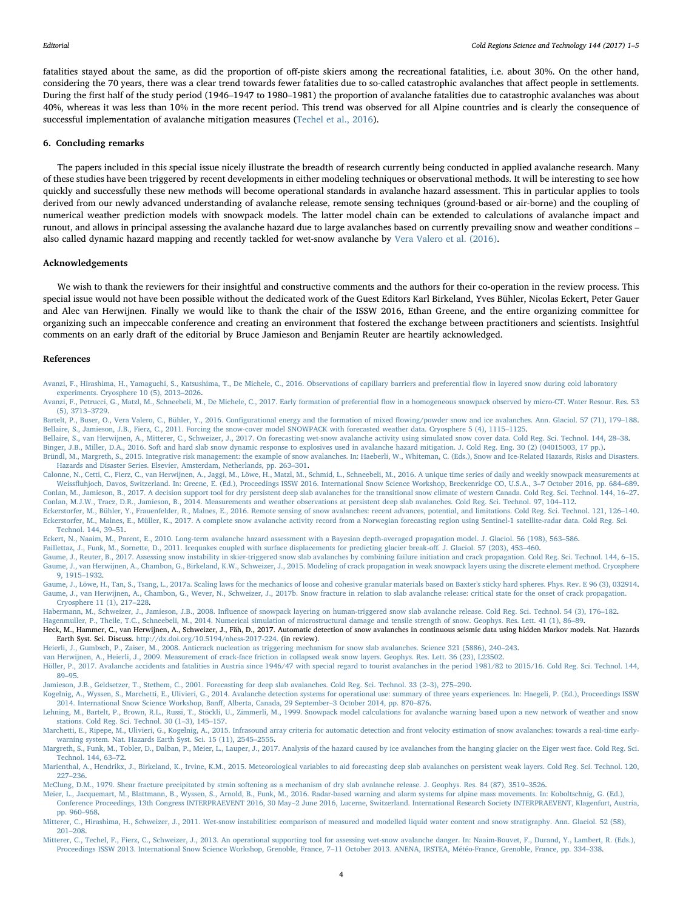fatalities stayed about the same, as did the proportion of off-piste skiers among the recreational fatalities, i.e. about 30%. On the other hand, considering the 70 years, there was a clear trend towards fewer fatalities due to so-called catastrophic avalanches that affect people in settlements. During the first half of the study period (1946–1947 to 1980–1981) the proportion of avalanche fatalities due to catastrophic avalanches was about 40%, whereas it was less than 10% in the more recent period. This trend was observed for all Alpine countries and is clearly the consequence of successful implementation of avalanche mitigation measures ([Techel et al., 2016\)](#page-4-18).

#### 6. Concluding remarks

The papers included in this special issue nicely illustrate the breadth of research currently being conducted in applied avalanche research. Many of these studies have been triggered by recent developments in either modeling techniques or observational methods. It will be interesting to see how quickly and successfully these new methods will become operational standards in avalanche hazard assessment. This in particular applies to tools derived from our newly advanced understanding of avalanche release, remote sensing techniques (ground-based or air-borne) and the coupling of numerical weather prediction models with snowpack models. The latter model chain can be extended to calculations of avalanche impact and runout, and allows in principal assessing the avalanche hazard due to large avalanches based on currently prevailing snow and weather conditions – also called dynamic hazard mapping and recently tackled for wet-snow avalanche by [Vera Valero et al. \(2016\).](#page-4-19)

### Acknowledgements

We wish to thank the reviewers for their insightful and constructive comments and the authors for their co-operation in the review process. This special issue would not have been possible without the dedicated work of the Guest Editors Karl Birkeland, Yves Bühler, Nicolas Eckert, Peter Gauer and Alec van Herwijnen. Finally we would like to thank the chair of the ISSW 2016, Ethan Greene, and the entire organizing committee for organizing such an impeccable conference and creating an environment that fostered the exchange between practitioners and scientists. Insightful comments on an early draft of the editorial by Bruce Jamieson and Benjamin Reuter are heartily acknowledged.

#### References

- <span id="page-3-16"></span>[Avanzi, F., Hirashima, H., Yamaguchi, S., Katsushima, T., De Michele, C., 2016. Observations of capillary barriers and preferential](http://refhub.elsevier.com/S0165-232X(17)30492-5/rf0005) flow in layered snow during cold laboratory [experiments. Cryosphere 10 \(5\), 2013](http://refhub.elsevier.com/S0165-232X(17)30492-5/rf0005)–2026.
- <span id="page-3-15"></span>[Avanzi, F., Petrucci, G., Matzl, M., Schneebeli, M., De Michele, C., 2017. Early formation of preferential](http://refhub.elsevier.com/S0165-232X(17)30492-5/rf0010) flow in a homogeneous snowpack observed by micro-CT. Water Resour. Res. 53 [\(5\), 3713](http://refhub.elsevier.com/S0165-232X(17)30492-5/rf0010)–3729.

<span id="page-3-28"></span><span id="page-3-21"></span>Bartelt, P., Buser, O., Vera Valero, C., Bühler, Y., 2016. Configurational energy and the formation of mixed fl[owing/powder snow and ice avalanches. Ann. Glaciol. 57 \(71\), 179](http://refhub.elsevier.com/S0165-232X(17)30492-5/rf0015)–188. [Bellaire, S., Jamieson, J.B., Fierz, C., 2011. Forcing the snow-cover model SNOWPACK with forecasted weather data. Cryosphere 5 \(4\), 1115](http://refhub.elsevier.com/S0165-232X(17)30492-5/rf0020)–1125.

<span id="page-3-20"></span>[Bellaire, S., van Herwijnen, A., Mitterer, C., Schweizer, J., 2017. On forecasting wet-snow avalanche activity using simulated snow cover data. Cold Reg. Sci. Technol. 144, 28](http://refhub.elsevier.com/S0165-232X(17)30492-5/rf0025)–38.

<span id="page-3-31"></span>[Binger, J.B., Miller, D.A., 2016. Soft and hard slab snow dynamic response to explosives used in avalanche hazard mitigation. J. Cold Reg. Eng. 30 \(2\) \(04015003, 17 pp.\)](http://refhub.elsevier.com/S0165-232X(17)30492-5/rf0030).

<span id="page-3-10"></span>[Bründl, M., Margreth, S., 2015. Integrative risk management: the example of snow avalanches. In: Haeberli, W., Whiteman, C. \(Eds.\), Snow and Ice-Related Hazards, Risks and Disasters.](http://refhub.elsevier.com/S0165-232X(17)30492-5/rf0035) [Hazards and Disaster Series. Elsevier, Amsterdam, Netherlands, pp. 263](http://refhub.elsevier.com/S0165-232X(17)30492-5/rf0035)–301.

<span id="page-3-13"></span><span id="page-3-5"></span>[Calonne, N., Cetti, C., Fierz, C., van Herwijnen, A., Jaggi, M., Löwe, H., Matzl, M., Schmid, L., Schneebeli, M., 2016. A unique time series of daily and weekly snowpack measurements at](http://refhub.elsevier.com/S0165-232X(17)30492-5/rf0040) Weissfl[uhjoch, Davos, Switzerland. In: Greene, E. \(Ed.\), Proceedings ISSW 2016. International Snow Science Workshop, Breckenridge CO, U.S.A., 3](http://refhub.elsevier.com/S0165-232X(17)30492-5/rf0040)–7 October 2016, pp. 684–689. [Conlan, M., Jamieson, B., 2017. A decision support tool for dry persistent deep slab avalanches for the transitional snow climate of western Canada. Cold Reg. Sci. Technol. 144, 16](http://refhub.elsevier.com/S0165-232X(17)30492-5/rf0045)–27. [Conlan, M.J.W., Tracz, D.R., Jamieson, B., 2014. Measurements and weather observations at persistent deep slab avalanches. Cold Reg. Sci. Technol. 97, 104](http://refhub.elsevier.com/S0165-232X(17)30492-5/rf0050)–112.

<span id="page-3-26"></span><span id="page-3-24"></span><span id="page-3-12"></span>[Eckerstorfer, M., Bühler, Y., Frauenfelder, R., Malnes, E., 2016. Remote sensing of snow avalanches: recent advances, potential, and limitations. Cold Reg. Sci. Technol. 121, 126](http://refhub.elsevier.com/S0165-232X(17)30492-5/rf0055)–140. [Eckerstorfer, M., Malnes, E., Müller, K., 2017. A complete snow avalanche activity record from a Norwegian forecasting region using Sentinel-1 satellite-radar data. Cold Reg. Sci.](http://refhub.elsevier.com/S0165-232X(17)30492-5/rf0060) [Technol. 144, 39](http://refhub.elsevier.com/S0165-232X(17)30492-5/rf0060)–51.

[Eckert, N., Naaim, M., Parent, E., 2010. Long-term avalanche hazard assessment with a Bayesian depth-averaged propagation model. J. Glaciol. 56 \(198\), 563](http://refhub.elsevier.com/S0165-232X(17)30492-5/rf0065)–586.

<span id="page-3-30"></span>[Faillettaz, J., Funk, M., Sornette, D., 2011. Icequakes coupled with surface displacements for predicting glacier break-o](http://refhub.elsevier.com/S0165-232X(17)30492-5/rf0070)ff. J. Glaciol. 57 (203), 453–460.

<span id="page-3-6"></span><span id="page-3-3"></span>[Gaume, J., Reuter, B., 2017. Assessing snow instability in skier-triggered snow slab avalanches by combining failure initiation and crack propagation. Cold Reg. Sci. Technol. 144, 6](http://refhub.elsevier.com/S0165-232X(17)30492-5/rf0075)–15. [Gaume, J., van Herwijnen, A., Chambon, G., Birkeland, K.W., Schweizer, J., 2015. Modeling of crack propagation in weak snowpack layers using the discrete element method. Cryosphere](http://refhub.elsevier.com/S0165-232X(17)30492-5/rf0080) [9, 1915](http://refhub.elsevier.com/S0165-232X(17)30492-5/rf0080)–1932.

<span id="page-3-9"></span><span id="page-3-4"></span>[Gaume, J., Löwe, H., Tan, S., Tsang, L., 2017a. Scaling laws for the mechanics of loose and cohesive granular materials based on Baxter's sticky hard spheres. Phys. Rev. E 96 \(3\), 032914.](http://refhub.elsevier.com/S0165-232X(17)30492-5/rf0085) [Gaume, J., van Herwijnen, A., Chambon, G., Wever, N., Schweizer, J., 2017b. Snow fracture in relation to slab avalanche release: critical state for the onset of crack propagation.](http://refhub.elsevier.com/S0165-232X(17)30492-5/rf0090) [Cryosphere 11 \(1\), 217](http://refhub.elsevier.com/S0165-232X(17)30492-5/rf0090)–228.

<span id="page-3-7"></span>Habermann, M., Schweizer, J., Jamieson, J.B., 2008. Infl[uence of snowpack layering on human-triggered snow slab avalanche release. Cold Reg. Sci. Technol. 54 \(3\), 176](http://refhub.elsevier.com/S0165-232X(17)30492-5/rf0095)–182.

<span id="page-3-25"></span><span id="page-3-8"></span>[Hagenmuller, P., Theile, T.C., Schneebeli, M., 2014. Numerical simulation of microstructural damage and tensile strength of snow. Geophys. Res. Lett. 41 \(1\), 86](http://refhub.elsevier.com/S0165-232X(17)30492-5/rf0100)–89. Heck, M., Hammer, C., van Herwijnen, A., Schweizer, J., Fäh, D., 2017. Automatic detection of snow avalanches in continuous seismic data using hidden Markov models. Nat. Hazards

Earth Syst. Sci. Discuss. [http://dx.doi.org/10.5194/nhess-2017-224.](http://dx.doi.org/10.5194/nhess-2017-224) (in review).

- <span id="page-3-0"></span>[Heierli, J., Gumbsch, P., Zaiser, M., 2008. Anticrack nucleation as triggering mechanism for snow slab avalanches. Science 321 \(5886\), 240](http://refhub.elsevier.com/S0165-232X(17)30492-5/rf0110)–243.
- <span id="page-3-2"></span>[van Herwijnen, A., Heierli, J., 2009. Measurement of crack-face friction in collapsed weak snow layers. Geophys. Res. Lett. 36 \(23\), L23502](http://refhub.elsevier.com/S0165-232X(17)30492-5/rf0115).
- <span id="page-3-32"></span>[Höller, P., 2017. Avalanche accidents and fatalities in Austria since 1946/47 with special regard to tourist avalanches in the period 1981/82 to 2015/16. Cold Reg. Sci. Technol. 144,](http://refhub.elsevier.com/S0165-232X(17)30492-5/rf0120) 89–[95](http://refhub.elsevier.com/S0165-232X(17)30492-5/rf0120).

<span id="page-3-11"></span>[Jamieson, J.B., Geldsetzer, T., Stethem, C., 2001. Forecasting for deep slab avalanches. Cold Reg. Sci. Technol. 33 \(2](http://refhub.elsevier.com/S0165-232X(17)30492-5/rf0125)–3), 275–290.

<span id="page-3-22"></span>[Kogelnig, A., Wyssen, S., Marchetti, E., Ulivieri, G., 2014. Avalanche detection systems for operational use: summary of three years experiences. In: Haegeli, P. \(Ed.\), Proceedings ISSW](http://refhub.elsevier.com/S0165-232X(17)30492-5/rf0130) [2014. International Snow Science Workshop, Ban](http://refhub.elsevier.com/S0165-232X(17)30492-5/rf0130)ff, Alberta, Canada, 29 September–3 October 2014, pp. 870–876.

<span id="page-3-18"></span>[Lehning, M., Bartelt, P., Brown, R.L., Russi, T., Stöckli, U., Zimmerli, M., 1999. Snowpack model calculations for avalanche warning based upon a new network of weather and snow](http://refhub.elsevier.com/S0165-232X(17)30492-5/rf0135) [stations. Cold Reg. Sci. Technol. 30 \(1](http://refhub.elsevier.com/S0165-232X(17)30492-5/rf0135)–3), 145–157.

<span id="page-3-23"></span>[Marchetti, E., Ripepe, M., Ulivieri, G., Kogelnig, A., 2015. Infrasound array criteria for automatic detection and front velocity estimation of snow avalanches: towards a real-time early](http://refhub.elsevier.com/S0165-232X(17)30492-5/rf0140)[warning system. Nat. Hazards Earth Syst. Sci. 15 \(11\), 2545](http://refhub.elsevier.com/S0165-232X(17)30492-5/rf0140)–2555.

<span id="page-3-27"></span>[Margreth, S., Funk, M., Tobler, D., Dalban, P., Meier, L., Lauper, J., 2017. Analysis of the hazard caused by ice avalanches from the hanging glacier on the Eiger west face. Cold Reg. Sci.](http://refhub.elsevier.com/S0165-232X(17)30492-5/rf0145) [Technol. 144, 63](http://refhub.elsevier.com/S0165-232X(17)30492-5/rf0145)–72.

<span id="page-3-14"></span>[Marienthal, A., Hendrikx, J., Birkeland, K., Irvine, K.M., 2015. Meteorological variables to aid forecasting deep slab avalanches on persistent weak layers. Cold Reg. Sci. Technol. 120,](http://refhub.elsevier.com/S0165-232X(17)30492-5/rf0150) 227–[236](http://refhub.elsevier.com/S0165-232X(17)30492-5/rf0150).

<span id="page-3-1"></span>[McClung, D.M., 1979. Shear fracture precipitated by strain softening as a mechanism of dry slab avalanche release. J. Geophys. Res. 84 \(87\), 3519](http://refhub.elsevier.com/S0165-232X(17)30492-5/rf0155)–3526.

<span id="page-3-29"></span>[Meier, L., Jacquemart, M., Blattmann, B., Wyssen, S., Arnold, B., Funk, M., 2016. Radar-based warning and alarm systems for alpine mass movements. In: Koboltschnig, G. \(Ed.\),](http://refhub.elsevier.com/S0165-232X(17)30492-5/rf0160) Conference Proceedings, 13th Congress INTERPRAEVENT 2016, 30 May–[2 June 2016, Lucerne, Switzerland. International Research Society INTERPRAEVENT, Klagenfurt, Austria,](http://refhub.elsevier.com/S0165-232X(17)30492-5/rf0160) [pp. 960](http://refhub.elsevier.com/S0165-232X(17)30492-5/rf0160)–968.

<span id="page-3-19"></span>[Mitterer, C., Hirashima, H., Schweizer, J., 2011. Wet-snow instabilities: comparison of measured and modelled liquid water content and snow stratigraphy. Ann. Glaciol. 52 \(58\),](http://refhub.elsevier.com/S0165-232X(17)30492-5/rf0165) 201–[208](http://refhub.elsevier.com/S0165-232X(17)30492-5/rf0165).

<span id="page-3-17"></span>[Mitterer, C., Techel, F., Fierz, C., Schweizer, J., 2013. An operational supporting tool for assessing wet-snow avalanche danger. In: Naaim-Bouvet, F., Durand, Y., Lambert, R. \(Eds.\),](http://refhub.elsevier.com/S0165-232X(17)30492-5/rf0170) [Proceedings ISSW 2013. International Snow Science Workshop, Grenoble, France, 7](http://refhub.elsevier.com/S0165-232X(17)30492-5/rf0170)–11 October 2013. ANENA, IRSTEA, Météo-France, Grenoble, France, pp. 334–338.